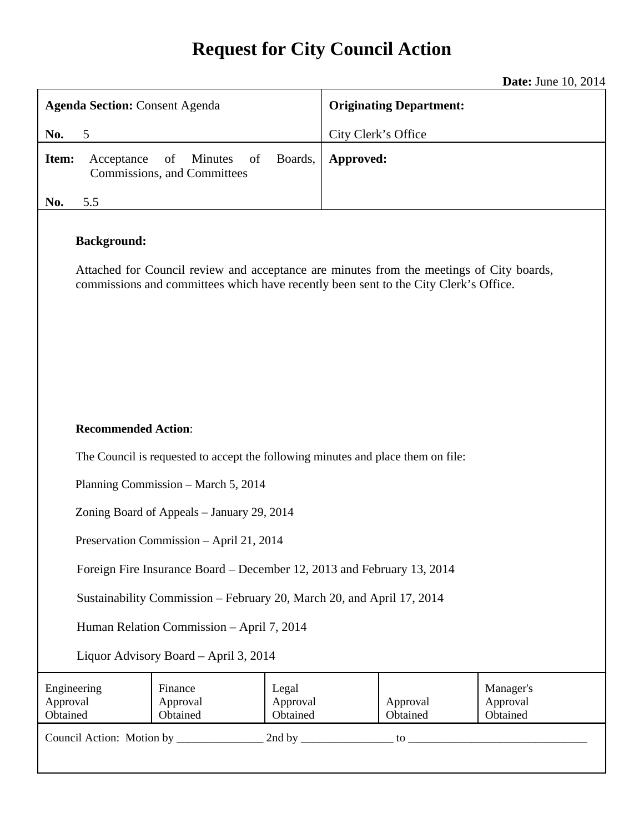# **Request for City Council Action**

**Date:** June 10, 2014

| <b>Agenda Section: Consent Agenda</b>                                                                                                                                                                  |                                                    | <b>Originating Department:</b> |                                                           |
|--------------------------------------------------------------------------------------------------------------------------------------------------------------------------------------------------------|----------------------------------------------------|--------------------------------|-----------------------------------------------------------|
| 5<br>No.                                                                                                                                                                                               |                                                    | City Clerk's Office            |                                                           |
| Item:<br>Acceptance                                                                                                                                                                                    | of<br>Minutes<br>of<br>Commissions, and Committees | Boards,                        | Approved:                                                 |
| No.<br>5.5                                                                                                                                                                                             |                                                    |                                |                                                           |
| <b>Background:</b><br>Attached for Council review and acceptance are minutes from the meetings of City boards,<br>commissions and committees which have recently been sent to the City Clerk's Office. |                                                    |                                |                                                           |
| <b>Recommended Action:</b><br>The Council is requested to accept the following minutes and place them on file:                                                                                         |                                                    |                                |                                                           |
|                                                                                                                                                                                                        | Planning Commission - March 5, 2014                |                                |                                                           |
|                                                                                                                                                                                                        | Zoning Board of Appeals - January 29, 2014         |                                |                                                           |
| Preservation Commission - April 21, 2014                                                                                                                                                               |                                                    |                                |                                                           |
| Foreign Fire Insurance Board – December 12, 2013 and February 13, 2014                                                                                                                                 |                                                    |                                |                                                           |
| Sustainability Commission - February 20, March 20, and April 17, 2014                                                                                                                                  |                                                    |                                |                                                           |
| Human Relation Commission - April 7, 2014                                                                                                                                                              |                                                    |                                |                                                           |
| Liquor Advisory Board - April 3, 2014                                                                                                                                                                  |                                                    |                                |                                                           |
| Engineering<br>Approval<br>Obtained                                                                                                                                                                    | Finance<br>Approval<br>Obtained                    | Legal<br>Approval<br>Obtained  | Manager's<br>Approval<br>Approval<br>Obtained<br>Obtained |
|                                                                                                                                                                                                        |                                                    |                                |                                                           |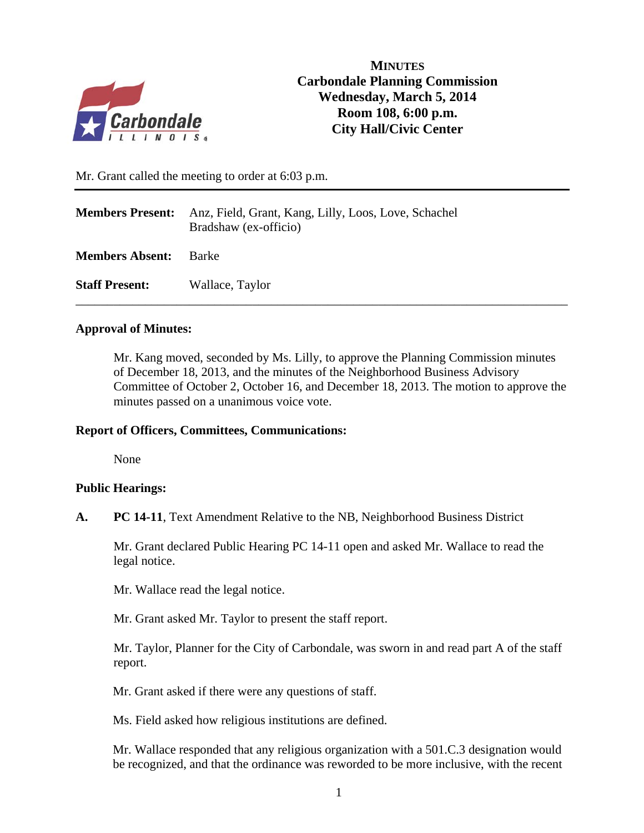

# **MINUTES Carbondale Planning Commission Wednesday, March 5, 2014 Room 108, 6:00 p.m. City Hall/Civic Center**

Mr. Grant called the meeting to order at 6:03 p.m.

| <b>Members Present:</b> | Anz, Field, Grant, Kang, Lilly, Loos, Love, Schachel<br>Bradshaw (ex-officio) |
|-------------------------|-------------------------------------------------------------------------------|
| <b>Members Absent:</b>  | <b>Barke</b>                                                                  |
| <b>Staff Present:</b>   | Wallace, Taylor                                                               |

# **Approval of Minutes:**

Mr. Kang moved, seconded by Ms. Lilly, to approve the Planning Commission minutes of December 18, 2013, and the minutes of the Neighborhood Business Advisory Committee of October 2, October 16, and December 18, 2013. The motion to approve the minutes passed on a unanimous voice vote.

# **Report of Officers, Committees, Communications:**

None

# **Public Hearings:**

**A. PC 14-11**, Text Amendment Relative to the NB, Neighborhood Business District

Mr. Grant declared Public Hearing PC 14-11 open and asked Mr. Wallace to read the legal notice.

Mr. Wallace read the legal notice.

Mr. Grant asked Mr. Taylor to present the staff report.

 Mr. Taylor, Planner for the City of Carbondale, was sworn in and read part A of the staff report.

Mr. Grant asked if there were any questions of staff.

Ms. Field asked how religious institutions are defined.

Mr. Wallace responded that any religious organization with a 501.C.3 designation would be recognized, and that the ordinance was reworded to be more inclusive, with the recent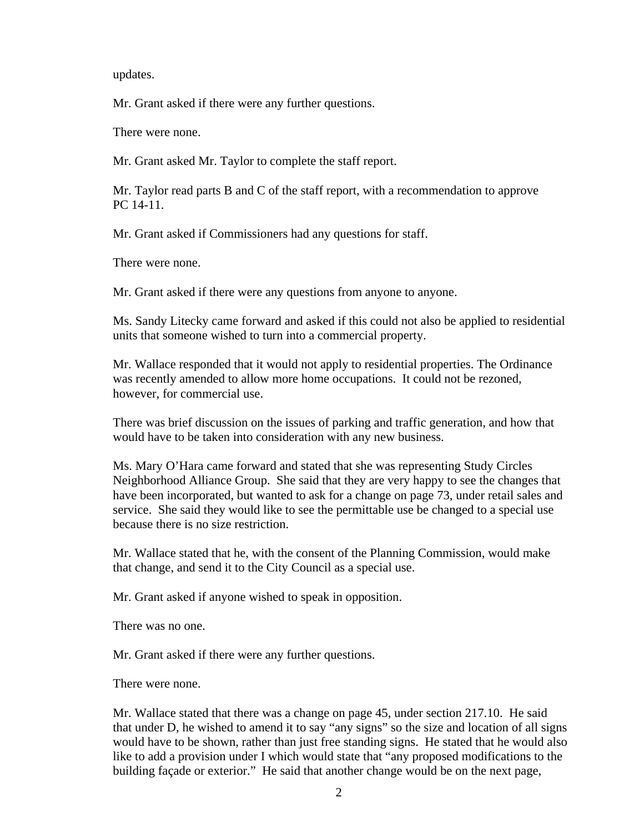updates.

Mr. Grant asked if there were any further questions.

There were none.

Mr. Grant asked Mr. Taylor to complete the staff report.

Mr. Taylor read parts B and C of the staff report, with a recommendation to approve PC 14-11.

Mr. Grant asked if Commissioners had any questions for staff.

There were none.

Mr. Grant asked if there were any questions from anyone to anyone.

Ms. Sandy Litecky came forward and asked if this could not also be applied to residential units that someone wished to turn into a commercial property.

Mr. Wallace responded that it would not apply to residential properties. The Ordinance was recently amended to allow more home occupations. It could not be rezoned, however, for commercial use.

There was brief discussion on the issues of parking and traffic generation, and how that would have to be taken into consideration with any new business.

Ms. Mary O'Hara came forward and stated that she was representing Study Circles Neighborhood Alliance Group. She said that they are very happy to see the changes that have been incorporated, but wanted to ask for a change on page 73, under retail sales and service. She said they would like to see the permittable use be changed to a special use because there is no size restriction.

Mr. Wallace stated that he, with the consent of the Planning Commission, would make that change, and send it to the City Council as a special use.

Mr. Grant asked if anyone wished to speak in opposition.

There was no one.

Mr. Grant asked if there were any further questions.

There were none.

Mr. Wallace stated that there was a change on page 45, under section 217.10. He said that under D, he wished to amend it to say "any signs" so the size and location of all signs would have to be shown, rather than just free standing signs. He stated that he would also like to add a provision under I which would state that "any proposed modifications to the building façade or exterior." He said that another change would be on the next page,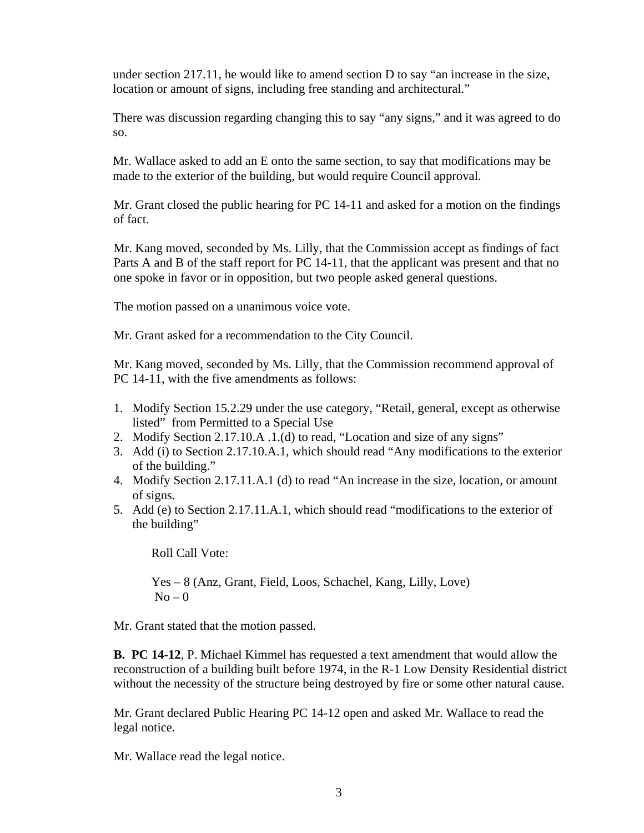under section 217.11, he would like to amend section D to say "an increase in the size, location or amount of signs, including free standing and architectural."

There was discussion regarding changing this to say "any signs," and it was agreed to do so.

Mr. Wallace asked to add an E onto the same section, to say that modifications may be made to the exterior of the building, but would require Council approval.

Mr. Grant closed the public hearing for PC 14-11 and asked for a motion on the findings of fact.

Mr. Kang moved, seconded by Ms. Lilly, that the Commission accept as findings of fact Parts A and B of the staff report for PC 14-11, that the applicant was present and that no one spoke in favor or in opposition, but two people asked general questions.

The motion passed on a unanimous voice vote.

Mr. Grant asked for a recommendation to the City Council.

Mr. Kang moved, seconded by Ms. Lilly, that the Commission recommend approval of PC 14-11, with the five amendments as follows:

- 1. Modify Section 15.2.29 under the use category, "Retail, general, except as otherwise listed" from Permitted to a Special Use
- 2. Modify Section 2.17.10.A .1.(d) to read, "Location and size of any signs"
- 3. Add (i) to Section 2.17.10.A.1, which should read "Any modifications to the exterior of the building."
- 4. Modify Section 2.17.11.A.1 (d) to read "An increase in the size, location, or amount of signs.
- 5. Add (e) to Section 2.17.11.A.1, which should read "modifications to the exterior of the building"

Roll Call Vote:

 Yes – 8 (Anz, Grant, Field, Loos, Schachel, Kang, Lilly, Love)  $No - 0$ 

Mr. Grant stated that the motion passed.

**B. PC 14-12**, P. Michael Kimmel has requested a text amendment that would allow the reconstruction of a building built before 1974, in the R-1 Low Density Residential district without the necessity of the structure being destroyed by fire or some other natural cause.

Mr. Grant declared Public Hearing PC 14-12 open and asked Mr. Wallace to read the legal notice.

Mr. Wallace read the legal notice.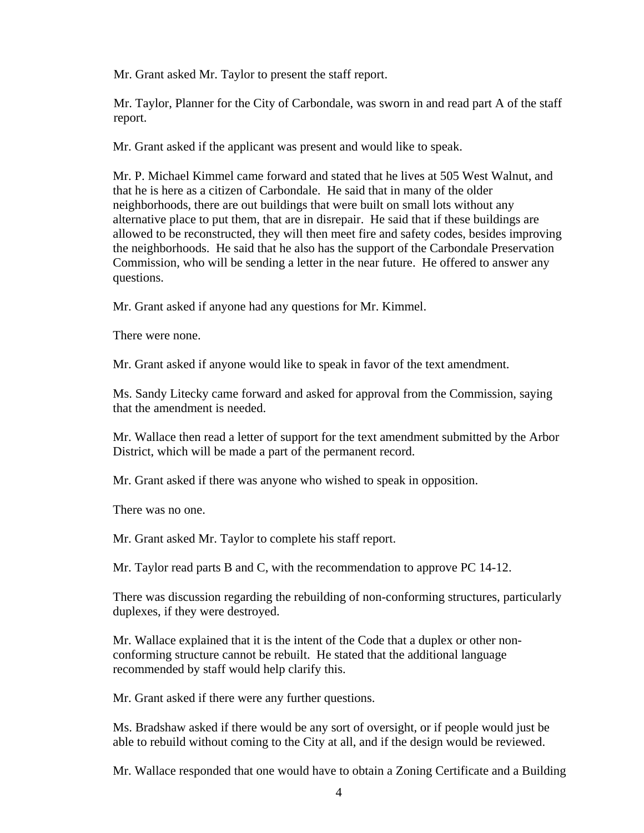Mr. Grant asked Mr. Taylor to present the staff report.

 Mr. Taylor, Planner for the City of Carbondale, was sworn in and read part A of the staff report.

Mr. Grant asked if the applicant was present and would like to speak.

Mr. P. Michael Kimmel came forward and stated that he lives at 505 West Walnut, and that he is here as a citizen of Carbondale. He said that in many of the older neighborhoods, there are out buildings that were built on small lots without any alternative place to put them, that are in disrepair. He said that if these buildings are allowed to be reconstructed, they will then meet fire and safety codes, besides improving the neighborhoods. He said that he also has the support of the Carbondale Preservation Commission, who will be sending a letter in the near future. He offered to answer any questions.

Mr. Grant asked if anyone had any questions for Mr. Kimmel.

There were none.

Mr. Grant asked if anyone would like to speak in favor of the text amendment.

Ms. Sandy Litecky came forward and asked for approval from the Commission, saying that the amendment is needed.

Mr. Wallace then read a letter of support for the text amendment submitted by the Arbor District, which will be made a part of the permanent record.

Mr. Grant asked if there was anyone who wished to speak in opposition.

There was no one.

Mr. Grant asked Mr. Taylor to complete his staff report.

Mr. Taylor read parts B and C, with the recommendation to approve PC 14-12.

There was discussion regarding the rebuilding of non-conforming structures, particularly duplexes, if they were destroyed.

Mr. Wallace explained that it is the intent of the Code that a duplex or other nonconforming structure cannot be rebuilt. He stated that the additional language recommended by staff would help clarify this.

Mr. Grant asked if there were any further questions.

Ms. Bradshaw asked if there would be any sort of oversight, or if people would just be able to rebuild without coming to the City at all, and if the design would be reviewed.

Mr. Wallace responded that one would have to obtain a Zoning Certificate and a Building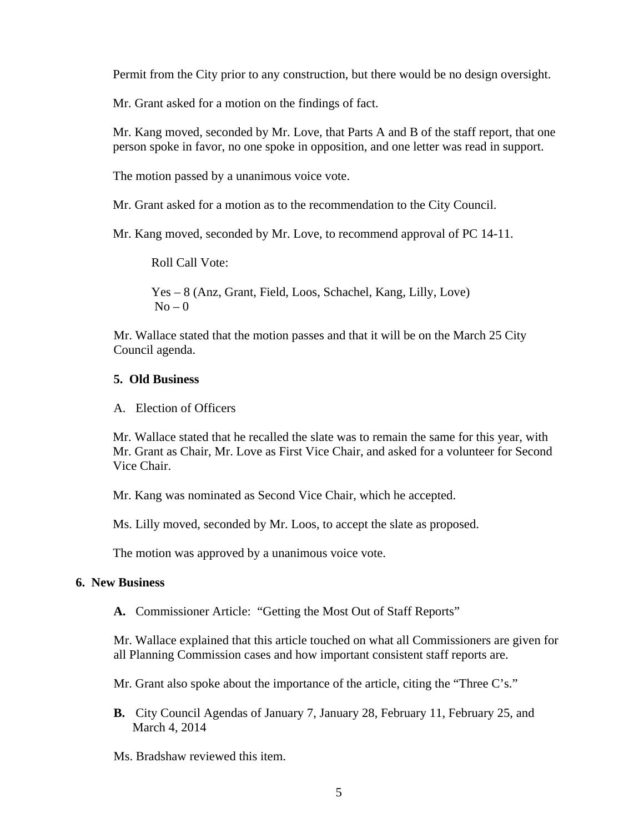Permit from the City prior to any construction, but there would be no design oversight.

Mr. Grant asked for a motion on the findings of fact.

Mr. Kang moved, seconded by Mr. Love, that Parts A and B of the staff report, that one person spoke in favor, no one spoke in opposition, and one letter was read in support.

The motion passed by a unanimous voice vote.

Mr. Grant asked for a motion as to the recommendation to the City Council.

Mr. Kang moved, seconded by Mr. Love, to recommend approval of PC 14-11.

Roll Call Vote:

 Yes – 8 (Anz, Grant, Field, Loos, Schachel, Kang, Lilly, Love)  $No - 0$ 

Mr. Wallace stated that the motion passes and that it will be on the March 25 City Council agenda.

#### **5. Old Business**

A. Election of Officers

Mr. Wallace stated that he recalled the slate was to remain the same for this year, with Mr. Grant as Chair, Mr. Love as First Vice Chair, and asked for a volunteer for Second Vice Chair.

Mr. Kang was nominated as Second Vice Chair, which he accepted.

Ms. Lilly moved, seconded by Mr. Loos, to accept the slate as proposed.

The motion was approved by a unanimous voice vote.

#### **6. New Business**

**A.** Commissioner Article: "Getting the Most Out of Staff Reports"

Mr. Wallace explained that this article touched on what all Commissioners are given for all Planning Commission cases and how important consistent staff reports are.

Mr. Grant also spoke about the importance of the article, citing the "Three C's."

**B.** City Council Agendas of January 7, January 28, February 11, February 25, and March 4, 2014

Ms. Bradshaw reviewed this item.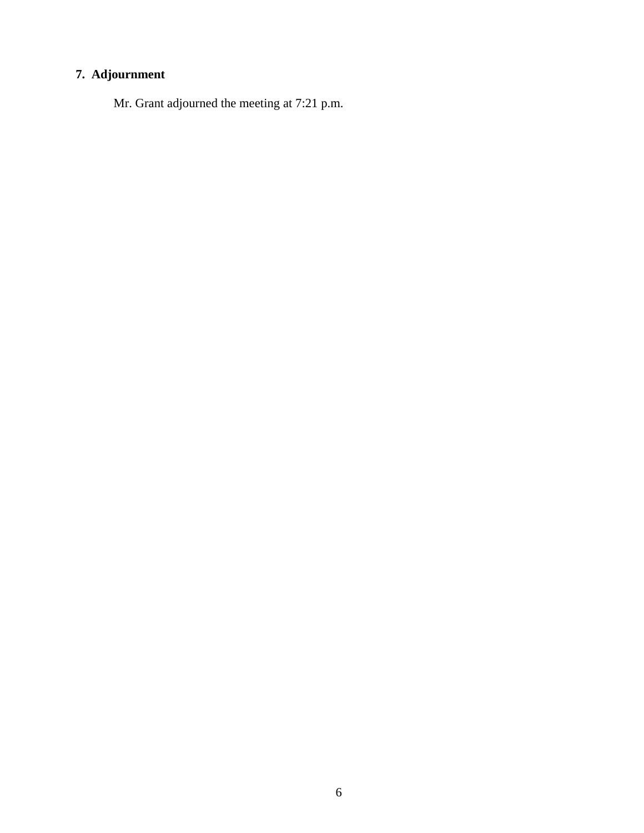# **7. Adjournment**

Mr. Grant adjourned the meeting at 7:21 p.m.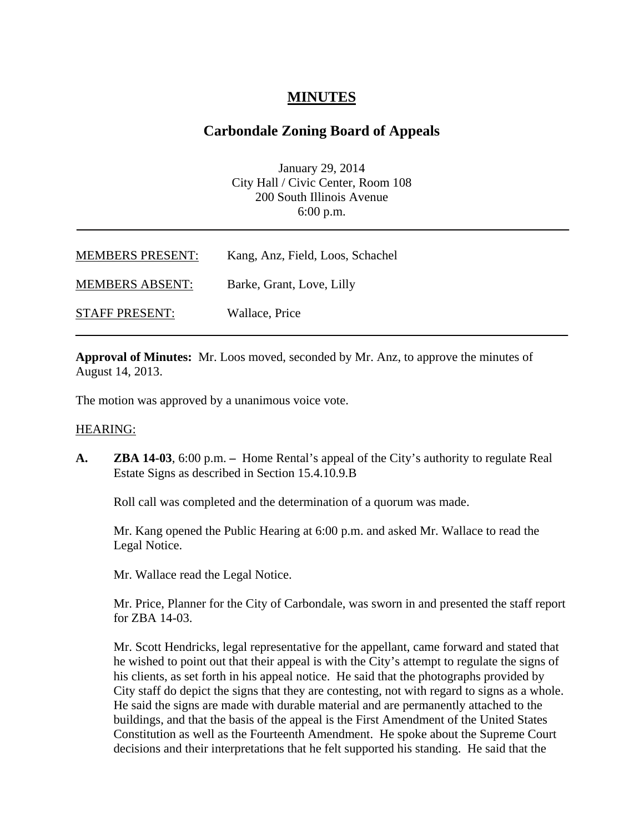# **MINUTES**

# **Carbondale Zoning Board of Appeals**

January 29, 2014 City Hall / Civic Center, Room 108 200 South Illinois Avenue 6:00 p.m.

| <b>MEMBERS PRESENT:</b> | Kang, Anz, Field, Loos, Schachel |
|-------------------------|----------------------------------|
| <b>MEMBERS ABSENT:</b>  | Barke, Grant, Love, Lilly        |
| <b>STAFF PRESENT:</b>   | Wallace, Price                   |

**Approval of Minutes:** Mr. Loos moved, seconded by Mr. Anz, to approve the minutes of August 14, 2013.

The motion was approved by a unanimous voice vote.

#### HEARING:

**A. ZBA 14-03**, 6:00 p.m. **–** Home Rental's appeal of the City's authority to regulate Real Estate Signs as described in Section 15.4.10.9.B

Roll call was completed and the determination of a quorum was made.

Mr. Kang opened the Public Hearing at 6:00 p.m. and asked Mr. Wallace to read the Legal Notice.

Mr. Wallace read the Legal Notice.

Mr. Price, Planner for the City of Carbondale, was sworn in and presented the staff report for ZBA 14-03.

Mr. Scott Hendricks, legal representative for the appellant, came forward and stated that he wished to point out that their appeal is with the City's attempt to regulate the signs of his clients, as set forth in his appeal notice. He said that the photographs provided by City staff do depict the signs that they are contesting, not with regard to signs as a whole. He said the signs are made with durable material and are permanently attached to the buildings, and that the basis of the appeal is the First Amendment of the United States Constitution as well as the Fourteenth Amendment. He spoke about the Supreme Court decisions and their interpretations that he felt supported his standing. He said that the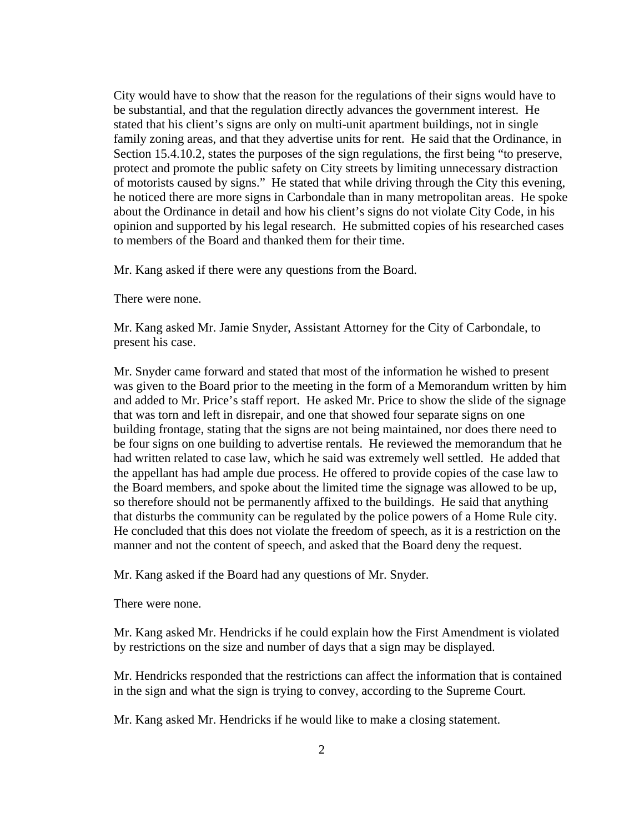City would have to show that the reason for the regulations of their signs would have to be substantial, and that the regulation directly advances the government interest. He stated that his client's signs are only on multi-unit apartment buildings, not in single family zoning areas, and that they advertise units for rent. He said that the Ordinance, in Section 15.4.10.2, states the purposes of the sign regulations, the first being "to preserve, protect and promote the public safety on City streets by limiting unnecessary distraction of motorists caused by signs." He stated that while driving through the City this evening, he noticed there are more signs in Carbondale than in many metropolitan areas. He spoke about the Ordinance in detail and how his client's signs do not violate City Code, in his opinion and supported by his legal research. He submitted copies of his researched cases to members of the Board and thanked them for their time.

Mr. Kang asked if there were any questions from the Board.

There were none.

Mr. Kang asked Mr. Jamie Snyder, Assistant Attorney for the City of Carbondale, to present his case.

Mr. Snyder came forward and stated that most of the information he wished to present was given to the Board prior to the meeting in the form of a Memorandum written by him and added to Mr. Price's staff report. He asked Mr. Price to show the slide of the signage that was torn and left in disrepair, and one that showed four separate signs on one building frontage, stating that the signs are not being maintained, nor does there need to be four signs on one building to advertise rentals. He reviewed the memorandum that he had written related to case law, which he said was extremely well settled. He added that the appellant has had ample due process. He offered to provide copies of the case law to the Board members, and spoke about the limited time the signage was allowed to be up, so therefore should not be permanently affixed to the buildings. He said that anything that disturbs the community can be regulated by the police powers of a Home Rule city. He concluded that this does not violate the freedom of speech, as it is a restriction on the manner and not the content of speech, and asked that the Board deny the request.

Mr. Kang asked if the Board had any questions of Mr. Snyder.

There were none.

Mr. Kang asked Mr. Hendricks if he could explain how the First Amendment is violated by restrictions on the size and number of days that a sign may be displayed.

Mr. Hendricks responded that the restrictions can affect the information that is contained in the sign and what the sign is trying to convey, according to the Supreme Court.

Mr. Kang asked Mr. Hendricks if he would like to make a closing statement.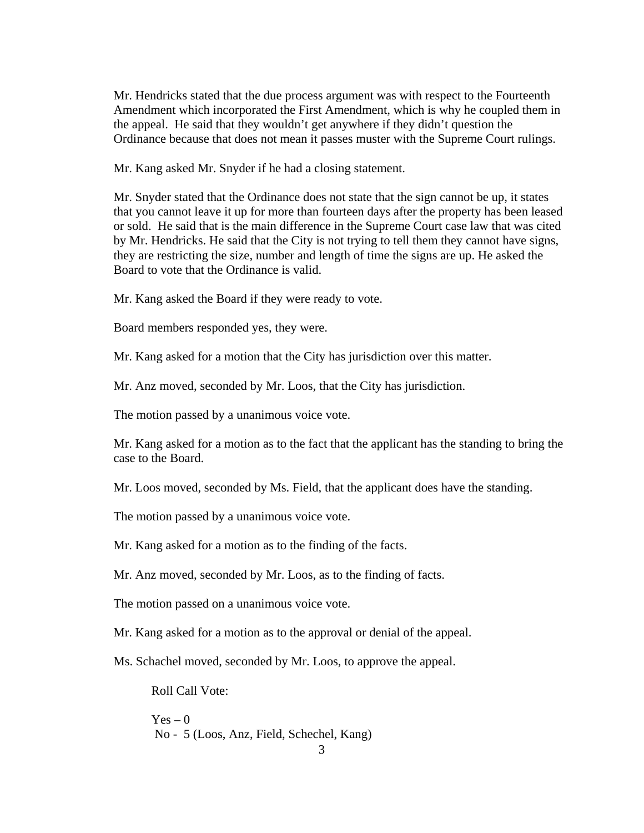Mr. Hendricks stated that the due process argument was with respect to the Fourteenth Amendment which incorporated the First Amendment, which is why he coupled them in the appeal. He said that they wouldn't get anywhere if they didn't question the Ordinance because that does not mean it passes muster with the Supreme Court rulings.

Mr. Kang asked Mr. Snyder if he had a closing statement.

Mr. Snyder stated that the Ordinance does not state that the sign cannot be up, it states that you cannot leave it up for more than fourteen days after the property has been leased or sold. He said that is the main difference in the Supreme Court case law that was cited by Mr. Hendricks. He said that the City is not trying to tell them they cannot have signs, they are restricting the size, number and length of time the signs are up. He asked the Board to vote that the Ordinance is valid.

Mr. Kang asked the Board if they were ready to vote.

Board members responded yes, they were.

Mr. Kang asked for a motion that the City has jurisdiction over this matter.

Mr. Anz moved, seconded by Mr. Loos, that the City has jurisdiction.

The motion passed by a unanimous voice vote.

Mr. Kang asked for a motion as to the fact that the applicant has the standing to bring the case to the Board.

Mr. Loos moved, seconded by Ms. Field, that the applicant does have the standing.

The motion passed by a unanimous voice vote.

Mr. Kang asked for a motion as to the finding of the facts.

Mr. Anz moved, seconded by Mr. Loos, as to the finding of facts.

The motion passed on a unanimous voice vote.

Mr. Kang asked for a motion as to the approval or denial of the appeal.

Ms. Schachel moved, seconded by Mr. Loos, to approve the appeal.

Roll Call Vote:

 $Yes - 0$ No - 5 (Loos, Anz, Field, Schechel, Kang)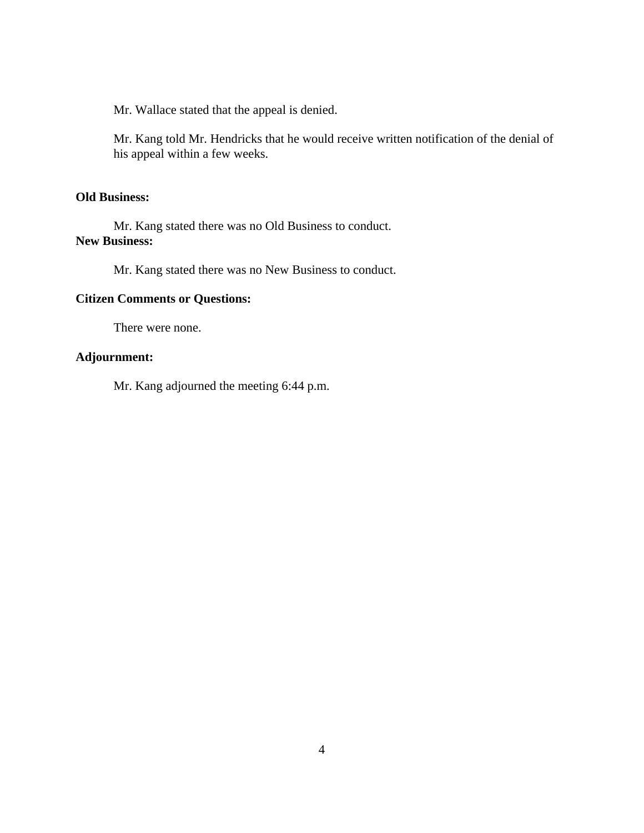Mr. Wallace stated that the appeal is denied.

Mr. Kang told Mr. Hendricks that he would receive written notification of the denial of his appeal within a few weeks.

#### **Old Business:**

Mr. Kang stated there was no Old Business to conduct. **New Business:**

Mr. Kang stated there was no New Business to conduct.

# **Citizen Comments or Questions:**

There were none.

# **Adjournment:**

Mr. Kang adjourned the meeting 6:44 p.m.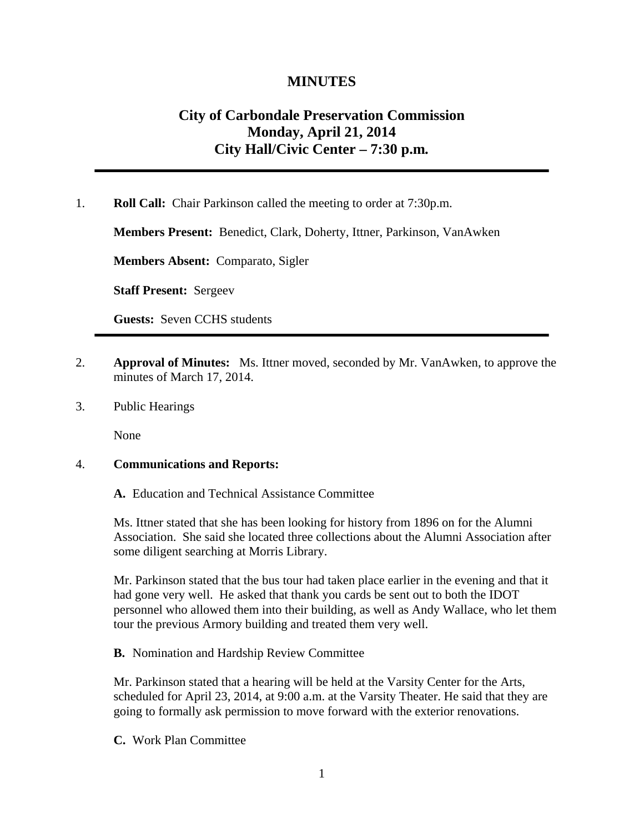# **MINUTES**

# **City of Carbondale Preservation Commission Monday, April 21, 2014 City Hall/Civic Center – 7:30 p.m***.*

1. **Roll Call:** Chair Parkinson called the meeting to order at 7:30p.m.

**Members Present:** Benedict, Clark, Doherty, Ittner, Parkinson, VanAwken

**Members Absent:** Comparato, Sigler

**Staff Present:** Sergeev

**Guests:** Seven CCHS students

- 2. **Approval of Minutes:** Ms. Ittner moved, seconded by Mr. VanAwken, to approve the minutes of March 17, 2014.
- 3. Public Hearings

None

#### 4. **Communications and Reports:**

**A.** Education and Technical Assistance Committee

Ms. Ittner stated that she has been looking for history from 1896 on for the Alumni Association. She said she located three collections about the Alumni Association after some diligent searching at Morris Library.

Mr. Parkinson stated that the bus tour had taken place earlier in the evening and that it had gone very well. He asked that thank you cards be sent out to both the IDOT personnel who allowed them into their building, as well as Andy Wallace, who let them tour the previous Armory building and treated them very well.

**B.** Nomination and Hardship Review Committee

Mr. Parkinson stated that a hearing will be held at the Varsity Center for the Arts, scheduled for April 23, 2014, at 9:00 a.m. at the Varsity Theater. He said that they are going to formally ask permission to move forward with the exterior renovations.

**C.** Work Plan Committee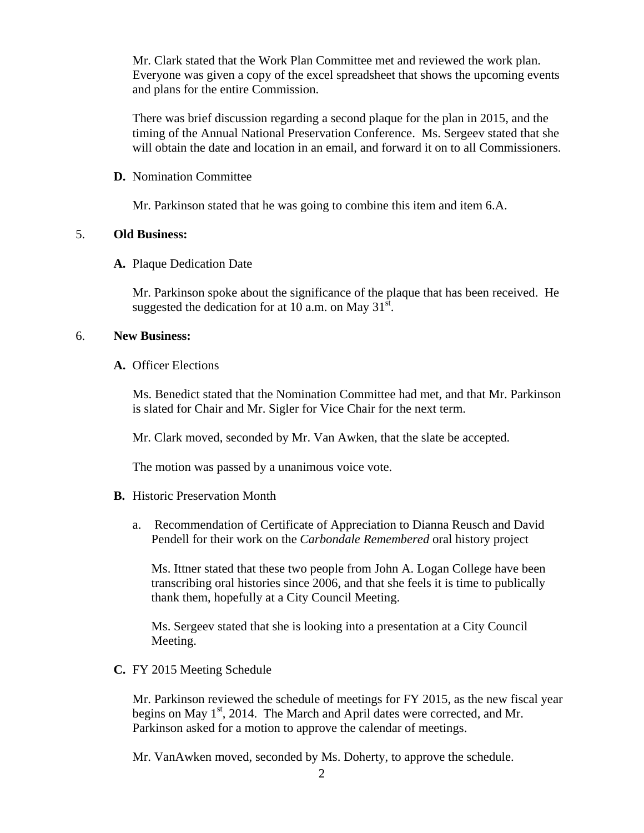Mr. Clark stated that the Work Plan Committee met and reviewed the work plan. Everyone was given a copy of the excel spreadsheet that shows the upcoming events and plans for the entire Commission.

There was brief discussion regarding a second plaque for the plan in 2015, and the timing of the Annual National Preservation Conference. Ms. Sergeev stated that she will obtain the date and location in an email, and forward it on to all Commissioners.

#### **D.** Nomination Committee

Mr. Parkinson stated that he was going to combine this item and item 6.A.

#### 5. **Old Business:**

#### **A.** Plaque Dedication Date

Mr. Parkinson spoke about the significance of the plaque that has been received. He suggested the dedication for at 10 a.m. on May  $31^{\text{st}}$ .

#### 6. **New Business:**

**A.** Officer Elections

Ms. Benedict stated that the Nomination Committee had met, and that Mr. Parkinson is slated for Chair and Mr. Sigler for Vice Chair for the next term.

Mr. Clark moved, seconded by Mr. Van Awken, that the slate be accepted.

The motion was passed by a unanimous voice vote.

- **B.** Historic Preservation Month
	- a. Recommendation of Certificate of Appreciation to Dianna Reusch and David Pendell for their work on the *Carbondale Remembered* oral history project

Ms. Ittner stated that these two people from John A. Logan College have been transcribing oral histories since 2006, and that she feels it is time to publically thank them, hopefully at a City Council Meeting.

Ms. Sergeev stated that she is looking into a presentation at a City Council Meeting.

**C.** FY 2015 Meeting Schedule

Mr. Parkinson reviewed the schedule of meetings for FY 2015, as the new fiscal year begins on May  $1<sup>st</sup>$ , 2014. The March and April dates were corrected, and Mr. Parkinson asked for a motion to approve the calendar of meetings.

Mr. VanAwken moved, seconded by Ms. Doherty, to approve the schedule.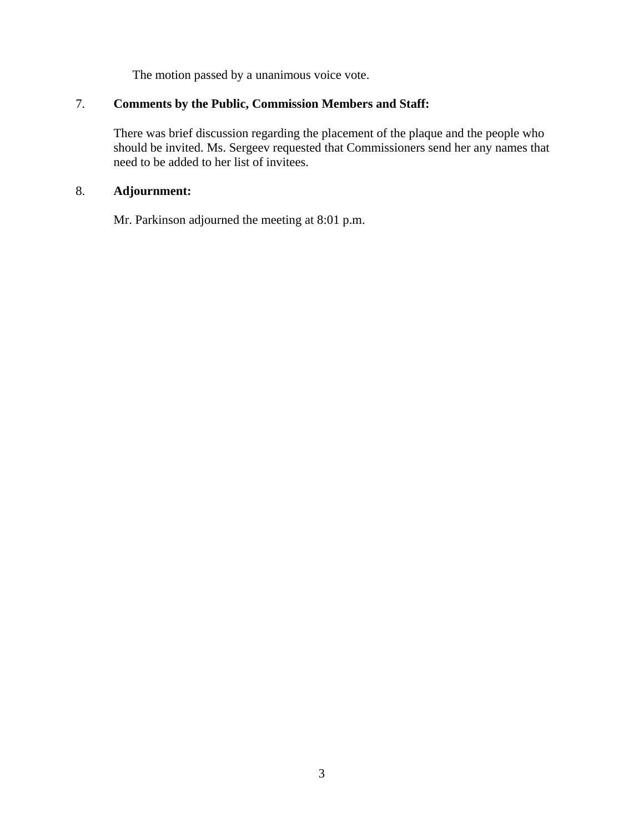The motion passed by a unanimous voice vote.

# 7. **Comments by the Public, Commission Members and Staff:**

There was brief discussion regarding the placement of the plaque and the people who should be invited. Ms. Sergeev requested that Commissioners send her any names that need to be added to her list of invitees.

# 8. **Adjournment:**

Mr. Parkinson adjourned the meeting at 8:01 p.m.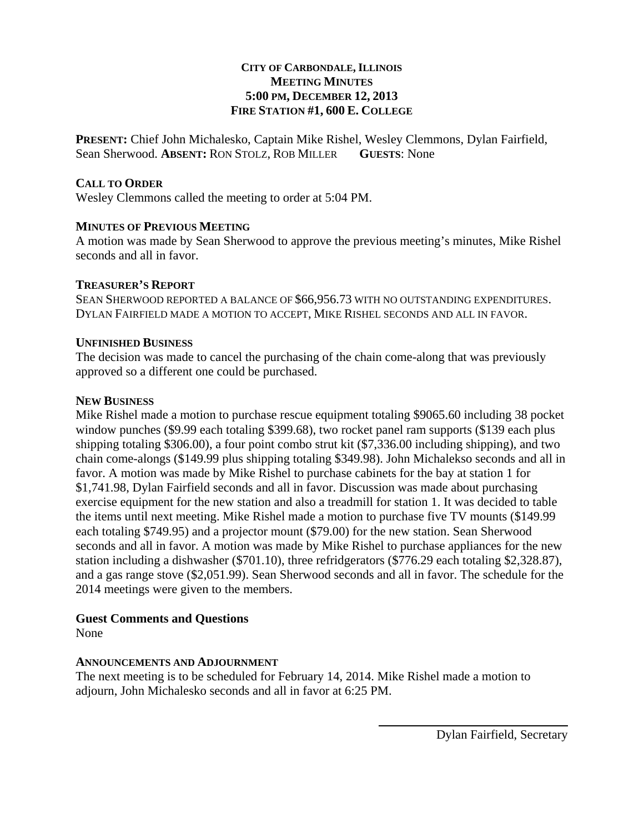# **CITY OF CARBONDALE, ILLINOIS MEETING MINUTES 5:00 PM, DECEMBER 12, 2013 FIRE STATION #1, 600 E. COLLEGE**

**PRESENT:** Chief John Michalesko, Captain Mike Rishel, Wesley Clemmons, Dylan Fairfield, Sean Sherwood. **ABSENT:** RON STOLZ, ROB MILLER **GUESTS**: None

# **CALL TO ORDER**

Wesley Clemmons called the meeting to order at 5:04 PM.

# **MINUTES OF PREVIOUS MEETING**

A motion was made by Sean Sherwood to approve the previous meeting's minutes, Mike Rishel seconds and all in favor.

# **TREASURER'S REPORT**

SEAN SHERWOOD REPORTED A BALANCE OF \$66,956.73 WITH NO OUTSTANDING EXPENDITURES. DYLAN FAIRFIELD MADE A MOTION TO ACCEPT, MIKE RISHEL SECONDS AND ALL IN FAVOR.

# **UNFINISHED BUSINESS**

The decision was made to cancel the purchasing of the chain come-along that was previously approved so a different one could be purchased.

# **NEW BUSINESS**

Mike Rishel made a motion to purchase rescue equipment totaling \$9065.60 including 38 pocket window punches (\$9.99 each totaling \$399.68), two rocket panel ram supports (\$139 each plus shipping totaling \$306.00), a four point combo strut kit (\$7,336.00 including shipping), and two chain come-alongs (\$149.99 plus shipping totaling \$349.98). John Michalekso seconds and all in favor. A motion was made by Mike Rishel to purchase cabinets for the bay at station 1 for \$1,741.98, Dylan Fairfield seconds and all in favor. Discussion was made about purchasing exercise equipment for the new station and also a treadmill for station 1. It was decided to table the items until next meeting. Mike Rishel made a motion to purchase five TV mounts (\$149.99 each totaling \$749.95) and a projector mount (\$79.00) for the new station. Sean Sherwood seconds and all in favor. A motion was made by Mike Rishel to purchase appliances for the new station including a dishwasher (\$701.10), three refridgerators (\$776.29 each totaling \$2,328.87), and a gas range stove (\$2,051.99). Sean Sherwood seconds and all in favor. The schedule for the 2014 meetings were given to the members.

# **Guest Comments and Questions**

None

# **ANNOUNCEMENTS AND ADJOURNMENT**

The next meeting is to be scheduled for February 14, 2014. Mike Rishel made a motion to adjourn, John Michalesko seconds and all in favor at 6:25 PM.

Dylan Fairfield, Secretary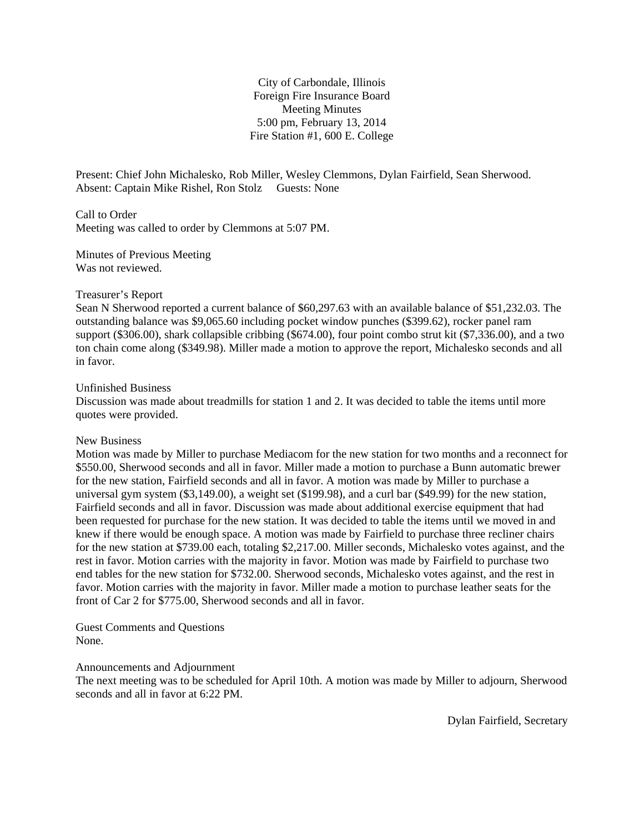City of Carbondale, Illinois Foreign Fire Insurance Board Meeting Minutes 5:00 pm, February 13, 2014 Fire Station #1, 600 E. College

Present: Chief John Michalesko, Rob Miller, Wesley Clemmons, Dylan Fairfield, Sean Sherwood. Absent: Captain Mike Rishel, Ron Stolz Guests: None

Call to Order Meeting was called to order by Clemmons at 5:07 PM.

Minutes of Previous Meeting Was not reviewed.

#### Treasurer's Report

Sean N Sherwood reported a current balance of \$60,297.63 with an available balance of \$51,232.03. The outstanding balance was \$9,065.60 including pocket window punches (\$399.62), rocker panel ram support (\$306.00), shark collapsible cribbing (\$674.00), four point combo strut kit (\$7,336.00), and a two ton chain come along (\$349.98). Miller made a motion to approve the report, Michalesko seconds and all in favor.

#### Unfinished Business

Discussion was made about treadmills for station 1 and 2. It was decided to table the items until more quotes were provided.

#### New Business

Motion was made by Miller to purchase Mediacom for the new station for two months and a reconnect for \$550.00, Sherwood seconds and all in favor. Miller made a motion to purchase a Bunn automatic brewer for the new station, Fairfield seconds and all in favor. A motion was made by Miller to purchase a universal gym system (\$3,149.00), a weight set (\$199.98), and a curl bar (\$49.99) for the new station, Fairfield seconds and all in favor. Discussion was made about additional exercise equipment that had been requested for purchase for the new station. It was decided to table the items until we moved in and knew if there would be enough space. A motion was made by Fairfield to purchase three recliner chairs for the new station at \$739.00 each, totaling \$2,217.00. Miller seconds, Michalesko votes against, and the rest in favor. Motion carries with the majority in favor. Motion was made by Fairfield to purchase two end tables for the new station for \$732.00. Sherwood seconds, Michalesko votes against, and the rest in favor. Motion carries with the majority in favor. Miller made a motion to purchase leather seats for the front of Car 2 for \$775.00, Sherwood seconds and all in favor.

Guest Comments and Questions None.

Announcements and Adjournment

The next meeting was to be scheduled for April 10th. A motion was made by Miller to adjourn, Sherwood seconds and all in favor at 6:22 PM.

Dylan Fairfield, Secretary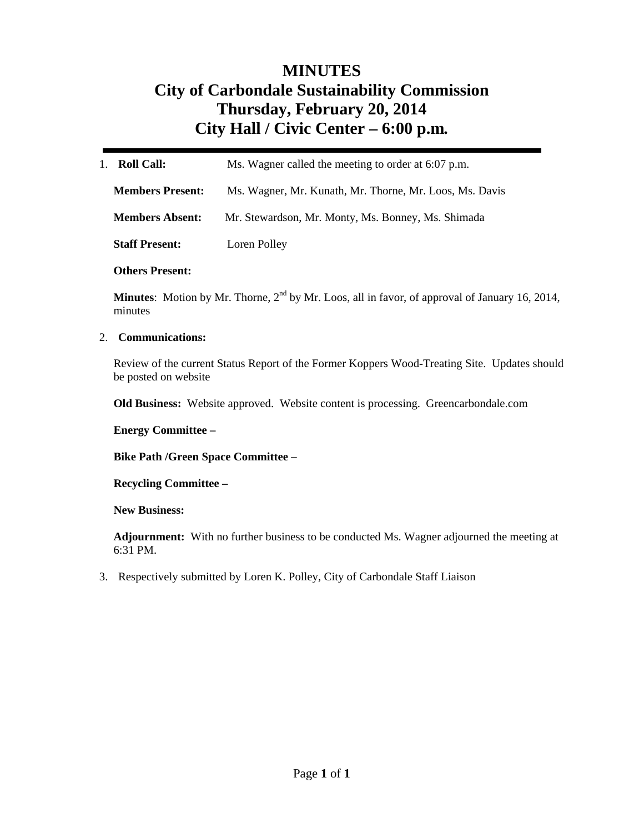# **MINUTES City of Carbondale Sustainability Commission Thursday, February 20, 2014 City Hall / Civic Center – 6:00 p.m***.*

| <b>Roll Call:</b><br>1. | Ms. Wagner called the meeting to order at 6:07 p.m.     |
|-------------------------|---------------------------------------------------------|
| <b>Members Present:</b> | Ms. Wagner, Mr. Kunath, Mr. Thorne, Mr. Loos, Ms. Davis |
| <b>Members Absent:</b>  | Mr. Stewardson, Mr. Monty, Ms. Bonney, Ms. Shimada      |
| <b>Staff Present:</b>   | Loren Polley                                            |

**Others Present:** 

**Minutes**: Motion by Mr. Thorne,  $2<sup>nd</sup>$  by Mr. Loos, all in favor, of approval of January 16, 2014, minutes

#### 2. **Communications:**

Review of the current Status Report of the Former Koppers Wood-Treating Site. Updates should be posted on website

**Old Business:** Website approved. Website content is processing. Greencarbondale.com

**Energy Committee –** 

**Bike Path /Green Space Committee –** 

**Recycling Committee –** 

**New Business:** 

**Adjournment:** With no further business to be conducted Ms. Wagner adjourned the meeting at 6:31 PM.

3. Respectively submitted by Loren K. Polley, City of Carbondale Staff Liaison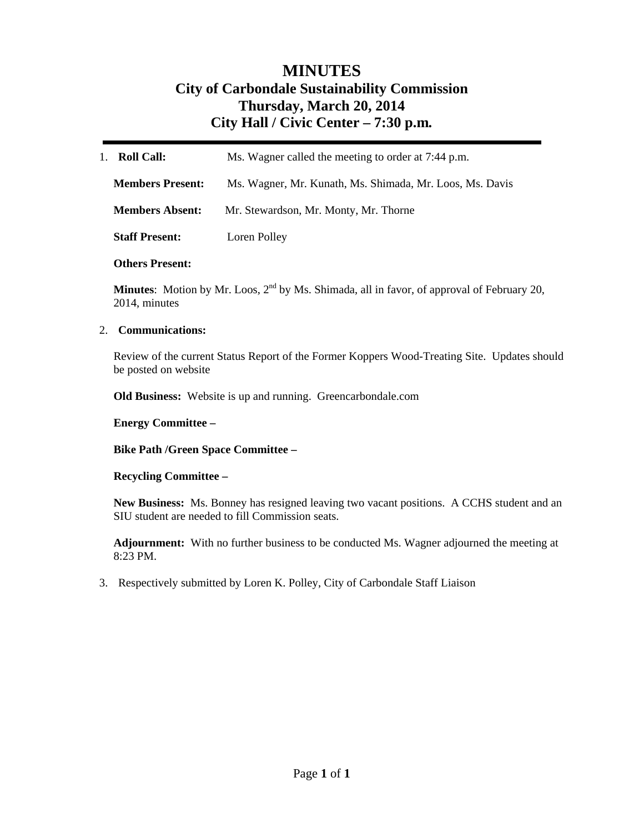# **MINUTES City of Carbondale Sustainability Commission Thursday, March 20, 2014 City Hall / Civic Center – 7:30 p.m***.*

| <b>Roll Call:</b><br>$1_{-}$                                    | Ms. Wagner called the meeting to order at 7:44 p.m.      |  |
|-----------------------------------------------------------------|----------------------------------------------------------|--|
| <b>Members Present:</b>                                         | Ms. Wagner, Mr. Kunath, Ms. Shimada, Mr. Loos, Ms. Davis |  |
| <b>Members Absent:</b><br>Mr. Stewardson, Mr. Monty, Mr. Thorne |                                                          |  |
| <b>Staff Present:</b>                                           | Loren Polley                                             |  |

#### **Others Present:**

**Minutes**: Motion by Mr. Loos, 2<sup>nd</sup> by Ms. Shimada, all in favor, of approval of February 20, 2014, minutes

#### 2. **Communications:**

Review of the current Status Report of the Former Koppers Wood-Treating Site. Updates should be posted on website

**Old Business:** Website is up and running. Greencarbondale.com

#### **Energy Committee –**

**Bike Path /Green Space Committee –** 

#### **Recycling Committee –**

**New Business:** Ms. Bonney has resigned leaving two vacant positions. A CCHS student and an SIU student are needed to fill Commission seats.

**Adjournment:** With no further business to be conducted Ms. Wagner adjourned the meeting at 8:23 PM.

3. Respectively submitted by Loren K. Polley, City of Carbondale Staff Liaison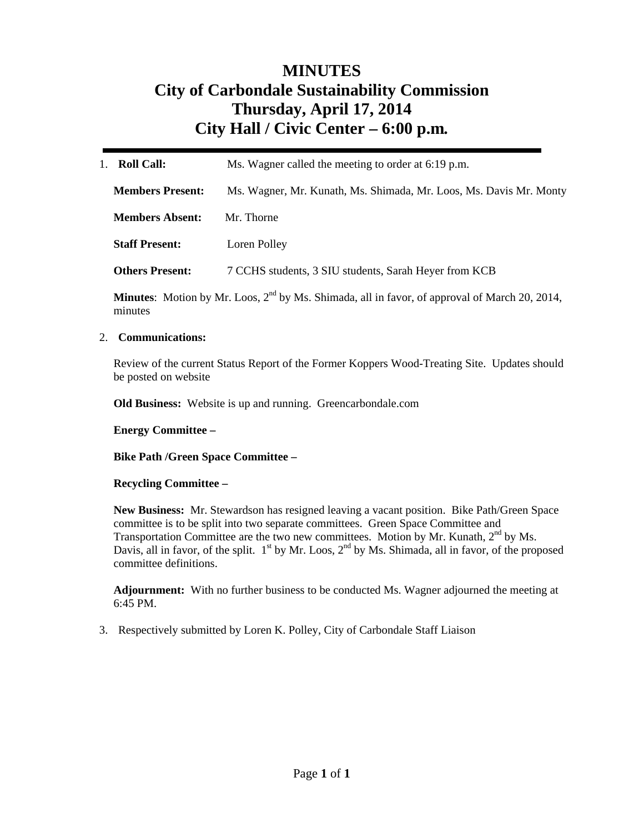# **MINUTES City of Carbondale Sustainability Commission Thursday, April 17, 2014 City Hall / Civic Center – 6:00 p.m***.*

| <b>Roll Call:</b>       | Ms. Wagner called the meeting to order at 6:19 p.m.                |  |
|-------------------------|--------------------------------------------------------------------|--|
| <b>Members Present:</b> | Ms. Wagner, Mr. Kunath, Ms. Shimada, Mr. Loos, Ms. Davis Mr. Monty |  |
| <b>Members Absent:</b>  | Mr. Thorne                                                         |  |
| <b>Staff Present:</b>   | Loren Polley                                                       |  |
| <b>Others Present:</b>  | 7 CCHS students, 3 SIU students, Sarah Heyer from KCB              |  |
|                         |                                                                    |  |

**Minutes**: Motion by Mr. Loos, 2<sup>nd</sup> by Ms. Shimada, all in favor, of approval of March 20, 2014, minutes

#### 2. **Communications:**

Review of the current Status Report of the Former Koppers Wood-Treating Site. Updates should be posted on website

**Old Business:** Website is up and running. Greencarbondale.com

#### **Energy Committee –**

**Bike Path /Green Space Committee –** 

#### **Recycling Committee –**

**New Business:** Mr. Stewardson has resigned leaving a vacant position. Bike Path/Green Space committee is to be split into two separate committees. Green Space Committee and Transportation Committee are the two new committees. Motion by Mr. Kunath,  $2<sup>nd</sup>$  by Ms. Davis, all in favor, of the split.  $1^{st}$  by Mr. Loos,  $2^{nd}$  by Ms. Shimada, all in favor, of the proposed committee definitions.

**Adjournment:** With no further business to be conducted Ms. Wagner adjourned the meeting at 6:45 PM.

3. Respectively submitted by Loren K. Polley, City of Carbondale Staff Liaison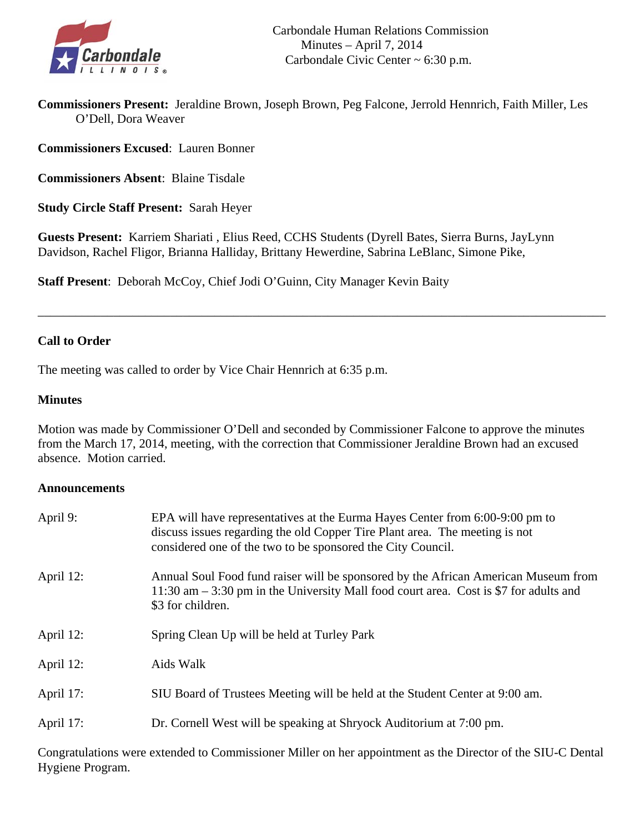

**Commissioners Present:** Jeraldine Brown, Joseph Brown, Peg Falcone, Jerrold Hennrich, Faith Miller, Les O'Dell, Dora Weaver

**Commissioners Excused**: Lauren Bonner

**Commissioners Absent**: Blaine Tisdale

**Study Circle Staff Present:** Sarah Heyer

**Guests Present:** Karriem Shariati , Elius Reed, CCHS Students (Dyrell Bates, Sierra Burns, JayLynn Davidson, Rachel Fligor, Brianna Halliday, Brittany Hewerdine, Sabrina LeBlanc, Simone Pike,

**Staff Present**: Deborah McCoy, Chief Jodi O'Guinn, City Manager Kevin Baity

# **Call to Order**

The meeting was called to order by Vice Chair Hennrich at 6:35 p.m.

# **Minutes**

Motion was made by Commissioner O'Dell and seconded by Commissioner Falcone to approve the minutes from the March 17, 2014, meeting, with the correction that Commissioner Jeraldine Brown had an excused absence. Motion carried.

\_\_\_\_\_\_\_\_\_\_\_\_\_\_\_\_\_\_\_\_\_\_\_\_\_\_\_\_\_\_\_\_\_\_\_\_\_\_\_\_\_\_\_\_\_\_\_\_\_\_\_\_\_\_\_\_\_\_\_\_\_\_\_\_\_\_\_\_\_\_\_\_\_\_\_\_\_\_\_\_\_\_\_\_\_\_\_\_\_\_

# **Announcements**

| April 9:  | EPA will have representatives at the Eurma Hayes Center from 6:00-9:00 pm to<br>discuss issues regarding the old Copper Tire Plant area. The meeting is not<br>considered one of the two to be sponsored the City Council. |
|-----------|----------------------------------------------------------------------------------------------------------------------------------------------------------------------------------------------------------------------------|
| April 12: | Annual Soul Food fund raiser will be sponsored by the African American Museum from<br>11:30 am $-$ 3:30 pm in the University Mall food court area. Cost is \$7 for adults and<br>\$3 for children.                         |
| April 12: | Spring Clean Up will be held at Turley Park                                                                                                                                                                                |
| April 12: | Aids Walk                                                                                                                                                                                                                  |
| April 17: | SIU Board of Trustees Meeting will be held at the Student Center at 9:00 am.                                                                                                                                               |
| April 17: | Dr. Cornell West will be speaking at Shryock Auditorium at 7:00 pm.                                                                                                                                                        |

Congratulations were extended to Commissioner Miller on her appointment as the Director of the SIU-C Dental Hygiene Program.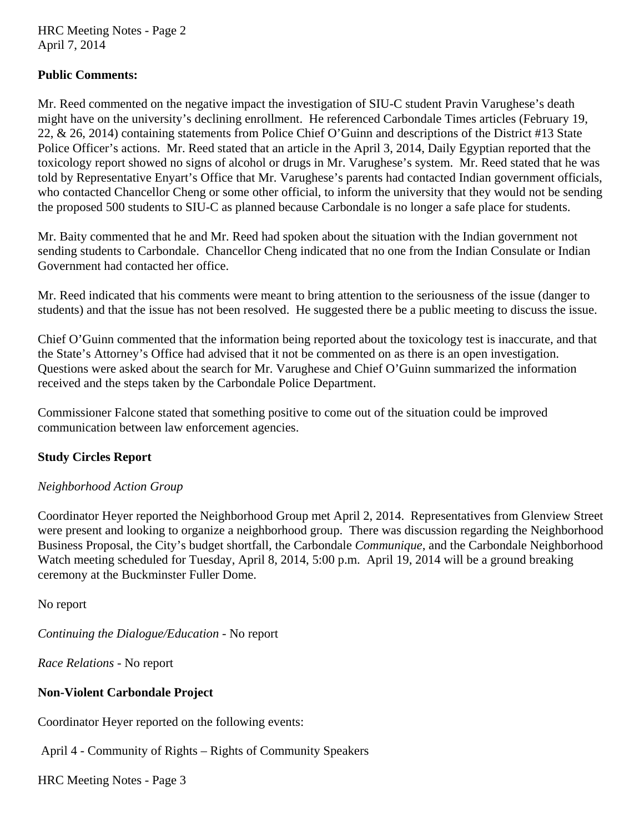HRC Meeting Notes - Page 2 April 7, 2014

# **Public Comments:**

Mr. Reed commented on the negative impact the investigation of SIU-C student Pravin Varughese's death might have on the university's declining enrollment. He referenced Carbondale Times articles (February 19, 22, & 26, 2014) containing statements from Police Chief O'Guinn and descriptions of the District #13 State Police Officer's actions. Mr. Reed stated that an article in the April 3, 2014, Daily Egyptian reported that the toxicology report showed no signs of alcohol or drugs in Mr. Varughese's system. Mr. Reed stated that he was told by Representative Enyart's Office that Mr. Varughese's parents had contacted Indian government officials, who contacted Chancellor Cheng or some other official, to inform the university that they would not be sending the proposed 500 students to SIU-C as planned because Carbondale is no longer a safe place for students.

Mr. Baity commented that he and Mr. Reed had spoken about the situation with the Indian government not sending students to Carbondale. Chancellor Cheng indicated that no one from the Indian Consulate or Indian Government had contacted her office.

Mr. Reed indicated that his comments were meant to bring attention to the seriousness of the issue (danger to students) and that the issue has not been resolved. He suggested there be a public meeting to discuss the issue.

Chief O'Guinn commented that the information being reported about the toxicology test is inaccurate, and that the State's Attorney's Office had advised that it not be commented on as there is an open investigation. Questions were asked about the search for Mr. Varughese and Chief O'Guinn summarized the information received and the steps taken by the Carbondale Police Department.

Commissioner Falcone stated that something positive to come out of the situation could be improved communication between law enforcement agencies.

# **Study Circles Report**

# *Neighborhood Action Group*

Coordinator Heyer reported the Neighborhood Group met April 2, 2014. Representatives from Glenview Street were present and looking to organize a neighborhood group. There was discussion regarding the Neighborhood Business Proposal, the City's budget shortfall, the Carbondale *Communique*, and the Carbondale Neighborhood Watch meeting scheduled for Tuesday, April 8, 2014, 5:00 p.m. April 19, 2014 will be a ground breaking ceremony at the Buckminster Fuller Dome.

No report

*Continuing the Dialogue/Education -* No report

*Race Relations -* No report

# **Non-Violent Carbondale Project**

Coordinator Heyer reported on the following events:

April 4 - Community of Rights – Rights of Community Speakers

HRC Meeting Notes - Page 3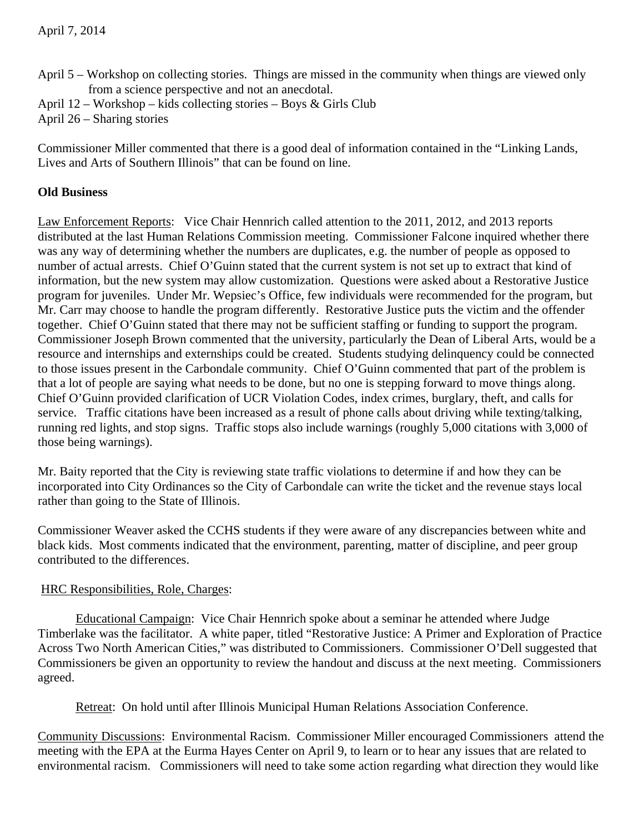- April 5 Workshop on collecting stories. Things are missed in the community when things are viewed only from a science perspective and not an anecdotal.
- April 12 Workshop kids collecting stories Boys & Girls Club

April 26 – Sharing stories

Commissioner Miller commented that there is a good deal of information contained in the "Linking Lands, Lives and Arts of Southern Illinois" that can be found on line.

# **Old Business**

Law Enforcement Reports: Vice Chair Hennrich called attention to the 2011, 2012, and 2013 reports distributed at the last Human Relations Commission meeting. Commissioner Falcone inquired whether there was any way of determining whether the numbers are duplicates, e.g. the number of people as opposed to number of actual arrests. Chief O'Guinn stated that the current system is not set up to extract that kind of information, but the new system may allow customization. Questions were asked about a Restorative Justice program for juveniles. Under Mr. Wepsiec's Office, few individuals were recommended for the program, but Mr. Carr may choose to handle the program differently. Restorative Justice puts the victim and the offender together. Chief O'Guinn stated that there may not be sufficient staffing or funding to support the program. Commissioner Joseph Brown commented that the university, particularly the Dean of Liberal Arts, would be a resource and internships and externships could be created. Students studying delinquency could be connected to those issues present in the Carbondale community. Chief O'Guinn commented that part of the problem is that a lot of people are saying what needs to be done, but no one is stepping forward to move things along. Chief O'Guinn provided clarification of UCR Violation Codes, index crimes, burglary, theft, and calls for service. Traffic citations have been increased as a result of phone calls about driving while texting/talking, running red lights, and stop signs. Traffic stops also include warnings (roughly 5,000 citations with 3,000 of those being warnings).

Mr. Baity reported that the City is reviewing state traffic violations to determine if and how they can be incorporated into City Ordinances so the City of Carbondale can write the ticket and the revenue stays local rather than going to the State of Illinois.

Commissioner Weaver asked the CCHS students if they were aware of any discrepancies between white and black kids. Most comments indicated that the environment, parenting, matter of discipline, and peer group contributed to the differences.

# HRC Responsibilities, Role, Charges:

 Educational Campaign: Vice Chair Hennrich spoke about a seminar he attended where Judge Timberlake was the facilitator. A white paper, titled "Restorative Justice: A Primer and Exploration of Practice Across Two North American Cities," was distributed to Commissioners. Commissioner O'Dell suggested that Commissioners be given an opportunity to review the handout and discuss at the next meeting. Commissioners agreed.

Retreat: On hold until after Illinois Municipal Human Relations Association Conference.

Community Discussions: Environmental Racism. Commissioner Miller encouraged Commissioners attend the meeting with the EPA at the Eurma Hayes Center on April 9, to learn or to hear any issues that are related to environmental racism. Commissioners will need to take some action regarding what direction they would like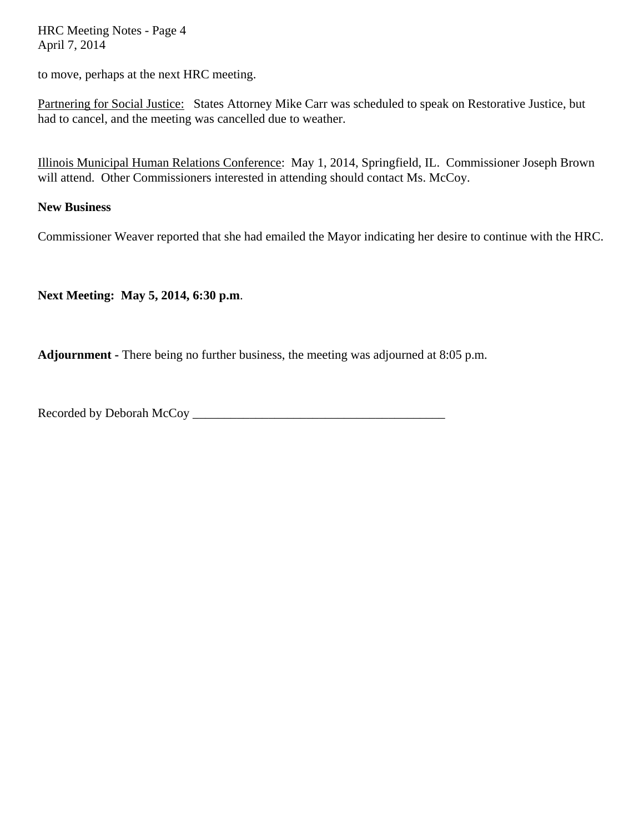HRC Meeting Notes - Page 4 April 7, 2014

to move, perhaps at the next HRC meeting.

Partnering for Social Justice: States Attorney Mike Carr was scheduled to speak on Restorative Justice, but had to cancel, and the meeting was cancelled due to weather.

Illinois Municipal Human Relations Conference: May 1, 2014, Springfield, IL. Commissioner Joseph Brown will attend. Other Commissioners interested in attending should contact Ms. McCoy.

#### **New Business**

Commissioner Weaver reported that she had emailed the Mayor indicating her desire to continue with the HRC.

**Next Meeting: May 5, 2014, 6:30 p.m**.

**Adjournment -** There being no further business, the meeting was adjourned at 8:05 p.m.

Recorded by Deborah McCoy \_\_\_\_\_\_\_\_\_\_\_\_\_\_\_\_\_\_\_\_\_\_\_\_\_\_\_\_\_\_\_\_\_\_\_\_\_\_\_\_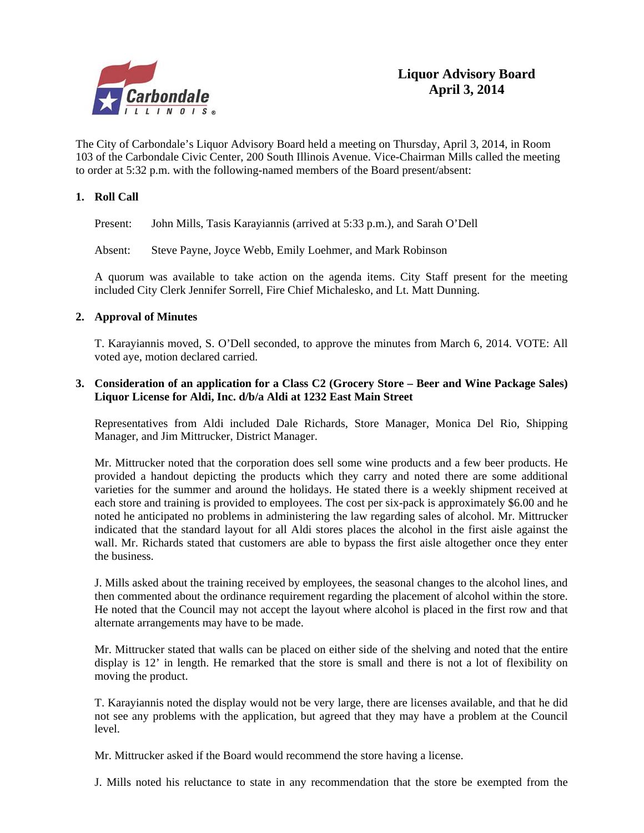

The City of Carbondale's Liquor Advisory Board held a meeting on Thursday, April 3, 2014, in Room 103 of the Carbondale Civic Center, 200 South Illinois Avenue. Vice-Chairman Mills called the meeting to order at 5:32 p.m. with the following-named members of the Board present/absent:

#### **1. Roll Call**

Present: John Mills, Tasis Karayiannis (arrived at 5:33 p.m.), and Sarah O'Dell

Absent: Steve Payne, Joyce Webb, Emily Loehmer, and Mark Robinson

A quorum was available to take action on the agenda items. City Staff present for the meeting included City Clerk Jennifer Sorrell, Fire Chief Michalesko, and Lt. Matt Dunning.

#### **2. Approval of Minutes**

T. Karayiannis moved, S. O'Dell seconded, to approve the minutes from March 6, 2014. VOTE: All voted aye, motion declared carried.

#### **3. Consideration of an application for a Class C2 (Grocery Store – Beer and Wine Package Sales) Liquor License for Aldi, Inc. d/b/a Aldi at 1232 East Main Street**

Representatives from Aldi included Dale Richards, Store Manager, Monica Del Rio, Shipping Manager, and Jim Mittrucker, District Manager.

 Mr. Mittrucker noted that the corporation does sell some wine products and a few beer products. He provided a handout depicting the products which they carry and noted there are some additional varieties for the summer and around the holidays. He stated there is a weekly shipment received at each store and training is provided to employees. The cost per six-pack is approximately \$6.00 and he noted he anticipated no problems in administering the law regarding sales of alcohol. Mr. Mittrucker indicated that the standard layout for all Aldi stores places the alcohol in the first aisle against the wall. Mr. Richards stated that customers are able to bypass the first aisle altogether once they enter the business.

 J. Mills asked about the training received by employees, the seasonal changes to the alcohol lines, and then commented about the ordinance requirement regarding the placement of alcohol within the store. He noted that the Council may not accept the layout where alcohol is placed in the first row and that alternate arrangements may have to be made.

 Mr. Mittrucker stated that walls can be placed on either side of the shelving and noted that the entire display is 12' in length. He remarked that the store is small and there is not a lot of flexibility on moving the product.

 T. Karayiannis noted the display would not be very large, there are licenses available, and that he did not see any problems with the application, but agreed that they may have a problem at the Council level.

Mr. Mittrucker asked if the Board would recommend the store having a license.

J. Mills noted his reluctance to state in any recommendation that the store be exempted from the